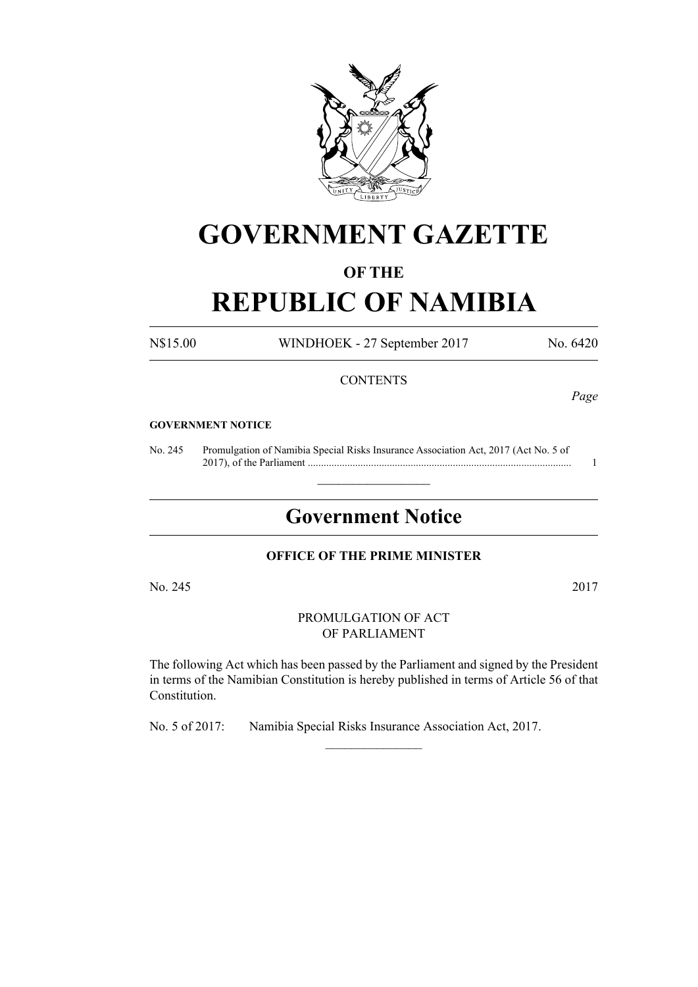

# **GOVERNMENT GAZETTE**

# **OF THE**

# **REPUBLIC OF NAMIBIA**

N\$15.00 WINDHOEK - 27 September 2017 No. 6420

# **CONTENTS**

*Page*

# **GOVERNMENT NOTICE**

No. 245 Promulgation of Namibia Special Risks Insurance Association Act, 2017 (Act No. 5 of 2017), of the Parliament .................................................................................................... 1

# **Government Notice**

 $\frac{1}{2}$  ,  $\frac{1}{2}$  ,  $\frac{1}{2}$  ,  $\frac{1}{2}$  ,  $\frac{1}{2}$  ,  $\frac{1}{2}$  ,  $\frac{1}{2}$ 

# **OFFICE OF THE PRIME MINISTER**

No. 245 2017

PROMULGATION OF ACT OF PARLIAMENT

The following Act which has been passed by the Parliament and signed by the President in terms of the Namibian Constitution is hereby published in terms of Article 56 of that Constitution.

 $\frac{1}{2}$ 

No. 5 of 2017: Namibia Special Risks Insurance Association Act, 2017.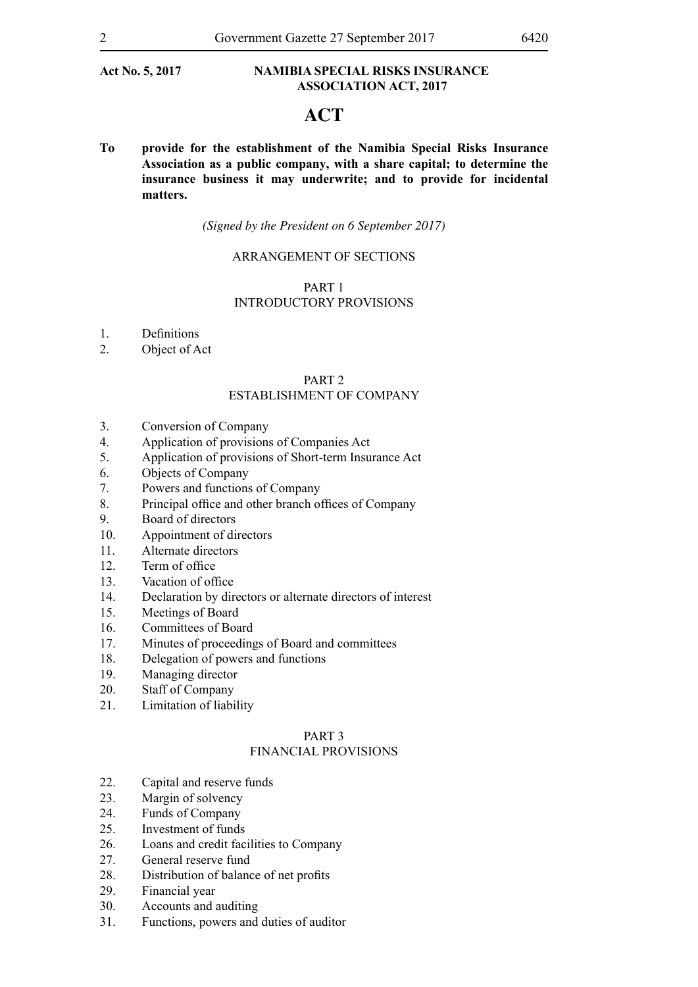# **ACT**

**To provide for the establishment of the Namibia Special Risks Insurance Association as a public company, with a share capital; to determine the insurance business it may underwrite; and to provide for incidental matters.**

*(Signed by the President on 6 September 2017)*

# ARRANGEMENT OF SECTIONS

# PART 1 INTRODUCTORY PROVISIONS

- 1. Definitions
- 2. Object of Act

# PART 2

# ESTABLISHMENT OF COMPANY

- 3. Conversion of Company
- 4. Application of provisions of Companies Act
- 5. Application of provisions of Short-term Insurance Act
- 6. Objects of Company
- 7. Powers and functions of Company
- 8. Principal office and other branch offices of Company
- 9. Board of directors
- 10. Appointment of directors
- 11. Alternate directors
- 12. Term of office
- 13. Vacation of office
- 14. Declaration by directors or alternate directors of interest
- 15. Meetings of Board
- 16. Committees of Board
- 17. Minutes of proceedings of Board and committees
- 18. Delegation of powers and functions
- 19. Managing director
- 20. Staff of Company
- 21. Limitation of liability

### PART 3

# FINANCIAL PROVISIONS

- 22. Capital and reserve funds
- 23. Margin of solvency
- 24. Funds of Company
- 25. Investment of funds
- 26. Loans and credit facilities to Company
- 27. General reserve fund
- 28. Distribution of balance of net profits
- 29. Financial year
- 30. Accounts and auditing
- 31. Functions, powers and duties of auditor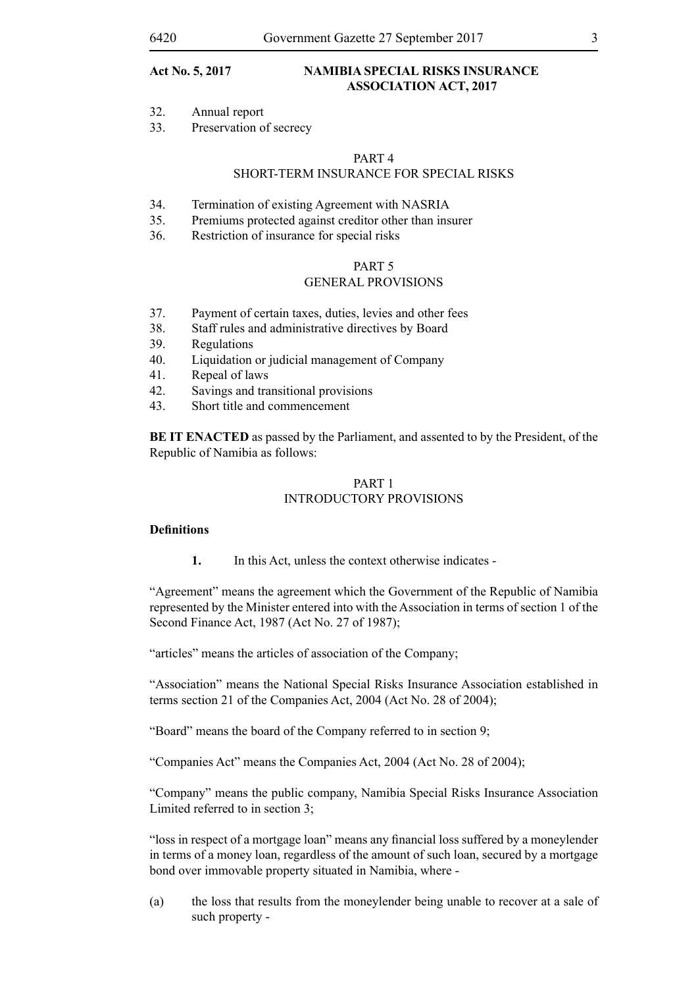- 32. Annual report
- 33. Preservation of secrecy

# PART 4

# SHORT-TERM INSURANCE FOR SPECIAL RISKS

- 34. Termination of existing Agreement with NASRIA
- 35. Premiums protected against creditor other than insurer
- 36. Restriction of insurance for special risks

# PART 5

# GENERAL PROVISIONS

- 37. Payment of certain taxes, duties, levies and other fees
- 38. Staff rules and administrative directives by Board
- 39. Regulations
- 40. Liquidation or judicial management of Company
- 41. Repeal of laws
- 42. Savings and transitional provisions
- 43. Short title and commencement

**BE IT ENACTED** as passed by the Parliament, and assented to by the President, of the Republic of Namibia as follows:

# PART 1 INTRODUCTORY PROVISIONS

### **Definitions**

**1.** In this Act, unless the context otherwise indicates -

"Agreement" means the agreement which the Government of the Republic of Namibia represented by the Minister entered into with the Association in terms of section 1 of the Second Finance Act, 1987 (Act No. 27 of 1987);

"articles" means the articles of association of the Company;

"Association" means the National Special Risks Insurance Association established in terms section 21 of the Companies Act, 2004 (Act No. 28 of 2004);

"Board" means the board of the Company referred to in section 9;

"Companies Act" means the Companies Act, 2004 (Act No. 28 of 2004);

"Company" means the public company, Namibia Special Risks Insurance Association Limited referred to in section 3;

"loss in respect of a mortgage loan" means any financial loss suffered by a moneylender in terms of a money loan, regardless of the amount of such loan, secured by a mortgage bond over immovable property situated in Namibia, where -

(a) the loss that results from the moneylender being unable to recover at a sale of such property -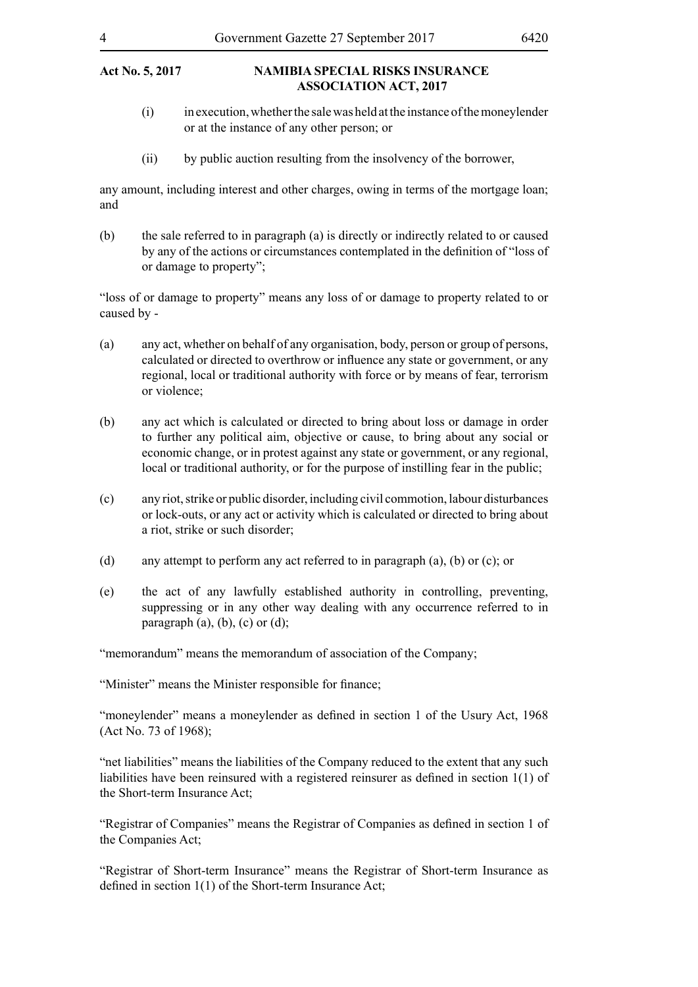- (i) in execution, whether the sale was held at the instance of the moneylender or at the instance of any other person; or
- (ii) by public auction resulting from the insolvency of the borrower,

any amount, including interest and other charges, owing in terms of the mortgage loan; and

(b) the sale referred to in paragraph (a) is directly or indirectly related to or caused by any of the actions or circumstances contemplated in the definition of "loss of or damage to property";

"loss of or damage to property" means any loss of or damage to property related to or caused by -

- (a) any act, whether on behalf of any organisation, body, person or group of persons, calculated or directed to overthrow or influence any state or government, or any regional, local or traditional authority with force or by means of fear, terrorism or violence;
- (b) any act which is calculated or directed to bring about loss or damage in order to further any political aim, objective or cause, to bring about any social or economic change, or in protest against any state or government, or any regional, local or traditional authority, or for the purpose of instilling fear in the public;
- (c) any riot, strike or public disorder, including civil commotion, labour disturbances or lock-outs, or any act or activity which is calculated or directed to bring about a riot, strike or such disorder;
- (d) any attempt to perform any act referred to in paragraph (a), (b) or (c); or
- (e) the act of any lawfully established authority in controlling, preventing, suppressing or in any other way dealing with any occurrence referred to in paragraph  $(a)$ ,  $(b)$ ,  $(c)$  or  $(d)$ ;

"memorandum" means the memorandum of association of the Company;

"Minister" means the Minister responsible for finance;

"moneylender" means a moneylender as defined in section 1 of the Usury Act, 1968 (Act No. 73 of 1968);

"net liabilities" means the liabilities of the Company reduced to the extent that any such liabilities have been reinsured with a registered reinsurer as defined in section 1(1) of the Short-term Insurance Act;

"Registrar of Companies" means the Registrar of Companies as defined in section 1 of the Companies Act;

"Registrar of Short-term Insurance" means the Registrar of Short-term Insurance as defined in section 1(1) of the Short-term Insurance Act;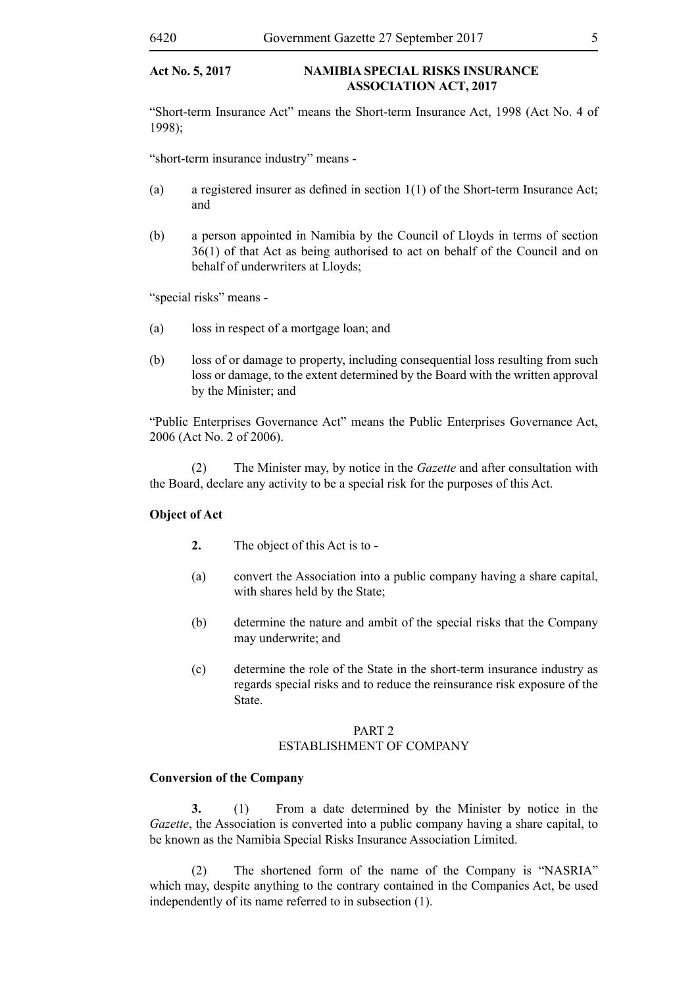"Short-term Insurance Act" means the Short-term Insurance Act, 1998 (Act No. 4 of 1998);

"short-term insurance industry" means -

- (a) a registered insurer as defined in section  $1(1)$  of the Short-term Insurance Act; and
- (b) a person appointed in Namibia by the Council of Lloyds in terms of section 36(1) of that Act as being authorised to act on behalf of the Council and on behalf of underwriters at Lloyds;

"special risks" means -

- (a) loss in respect of a mortgage loan; and
- (b) loss of or damage to property, including consequential loss resulting from such loss or damage, to the extent determined by the Board with the written approval by the Minister; and

"Public Enterprises Governance Act" means the Public Enterprises Governance Act, 2006 (Act No. 2 of 2006).

(2) The Minister may, by notice in the *Gazette* and after consultation with the Board, declare any activity to be a special risk for the purposes of this Act.

# **Object of Act**

- **2.** The object of this Act is to -
- (a) convert the Association into a public company having a share capital, with shares held by the State;
- (b) determine the nature and ambit of the special risks that the Company may underwrite; and
- (c) determine the role of the State in the short-term insurance industry as regards special risks and to reduce the reinsurance risk exposure of the State.

# PART 2 ESTABLISHMENT OF COMPANY

# **Conversion of the Company**

**3.** (1) From a date determined by the Minister by notice in the *Gazette*, the Association is converted into a public company having a share capital, to be known as the Namibia Special Risks Insurance Association Limited.

(2) The shortened form of the name of the Company is "NASRIA" which may, despite anything to the contrary contained in the Companies Act, be used independently of its name referred to in subsection (1).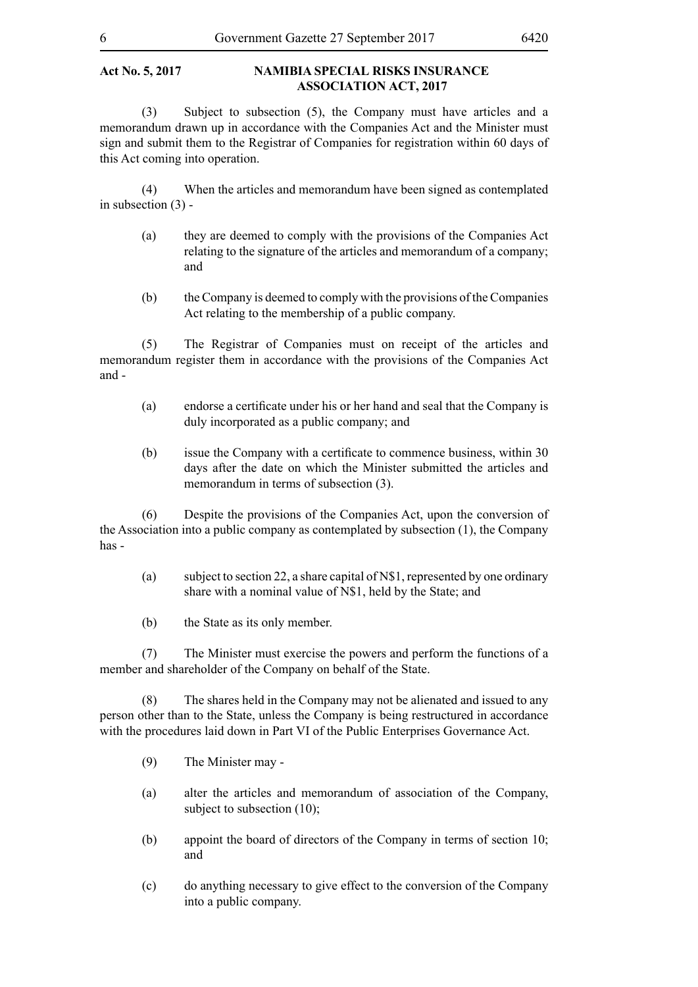(3) Subject to subsection (5), the Company must have articles and a memorandum drawn up in accordance with the Companies Act and the Minister must sign and submit them to the Registrar of Companies for registration within 60 days of this Act coming into operation.

(4) When the articles and memorandum have been signed as contemplated in subsection (3) -

- (a) they are deemed to comply with the provisions of the Companies Act relating to the signature of the articles and memorandum of a company; and
- (b) the Company is deemed to comply with the provisions of the Companies Act relating to the membership of a public company.

(5) The Registrar of Companies must on receipt of the articles and memorandum register them in accordance with the provisions of the Companies Act and -

- (a) endorse a certificate under his or her hand and seal that the Company is duly incorporated as a public company; and
- (b) issue the Company with a certificate to commence business, within 30 days after the date on which the Minister submitted the articles and memorandum in terms of subsection (3).

(6) Despite the provisions of the Companies Act, upon the conversion of the Association into a public company as contemplated by subsection (1), the Company has -

- (a) subject to section 22, a share capital of N\$1, represented by one ordinary share with a nominal value of N\$1, held by the State; and
- (b) the State as its only member.

(7) The Minister must exercise the powers and perform the functions of a member and shareholder of the Company on behalf of the State.

(8) The shares held in the Company may not be alienated and issued to any person other than to the State, unless the Company is being restructured in accordance with the procedures laid down in Part VI of the Public Enterprises Governance Act.

- (9) The Minister may -
- (a) alter the articles and memorandum of association of the Company, subject to subsection (10);
- (b) appoint the board of directors of the Company in terms of section 10; and
- (c) do anything necessary to give effect to the conversion of the Company into a public company.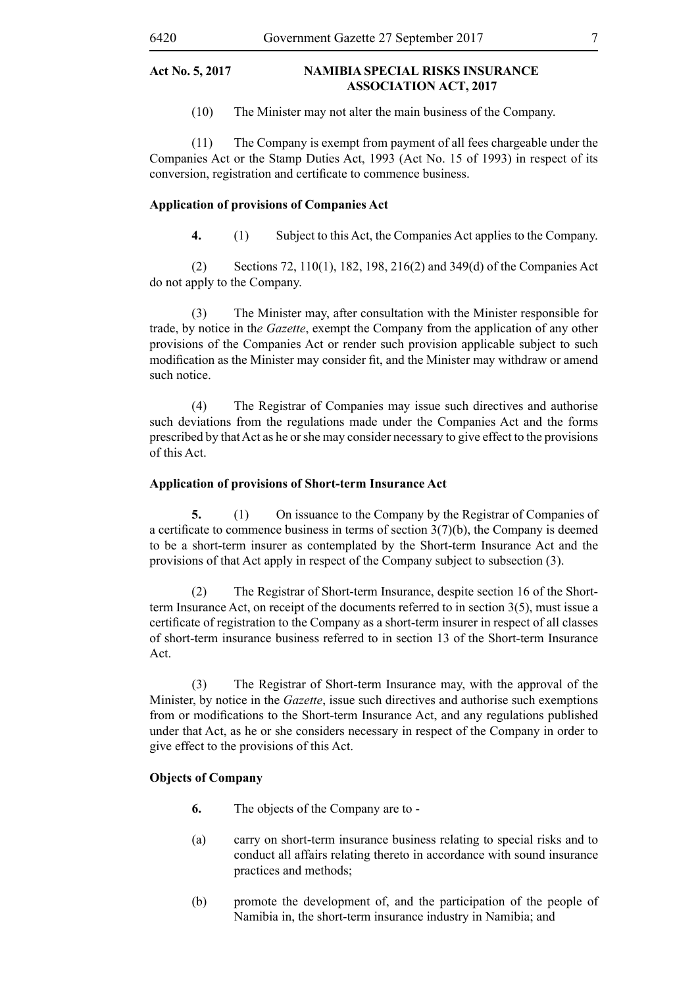(10) The Minister may not alter the main business of the Company.

(11) The Company is exempt from payment of all fees chargeable under the Companies Act or the Stamp Duties Act, 1993 (Act No. 15 of 1993) in respect of its conversion, registration and certificate to commence business.

# **Application of provisions of Companies Act**

**4.** (1) Subject to this Act, the Companies Act applies to the Company.

(2) Sections 72, 110(1), 182, 198, 216(2) and 349(d) of the Companies Act do not apply to the Company.

(3) The Minister may, after consultation with the Minister responsible for trade, by notice in th*e Gazette*, exempt the Company from the application of any other provisions of the Companies Act or render such provision applicable subject to such modification as the Minister may consider fit, and the Minister may withdraw or amend such notice.

(4) The Registrar of Companies may issue such directives and authorise such deviations from the regulations made under the Companies Act and the forms prescribed by that Act as he or she may consider necessary to give effect to the provisions of this Act.

# **Application of provisions of Short-term Insurance Act**

**5.** (1) On issuance to the Company by the Registrar of Companies of a certificate to commence business in terms of section  $3(7)(b)$ , the Company is deemed to be a short-term insurer as contemplated by the Short-term Insurance Act and the provisions of that Act apply in respect of the Company subject to subsection (3).

(2) The Registrar of Short-term Insurance, despite section 16 of the Shortterm Insurance Act, on receipt of the documents referred to in section 3(5), must issue a certificate of registration to the Company as a short-term insurer in respect of all classes of short-term insurance business referred to in section 13 of the Short-term Insurance Act.

(3) The Registrar of Short-term Insurance may, with the approval of the Minister, by notice in the *Gazette*, issue such directives and authorise such exemptions from or modifications to the Short-term Insurance Act, and any regulations published under that Act, as he or she considers necessary in respect of the Company in order to give effect to the provisions of this Act.

# **Objects of Company**

- **6.** The objects of the Company are to -
- (a) carry on short-term insurance business relating to special risks and to conduct all affairs relating thereto in accordance with sound insurance practices and methods;
- (b) promote the development of, and the participation of the people of Namibia in, the short-term insurance industry in Namibia; and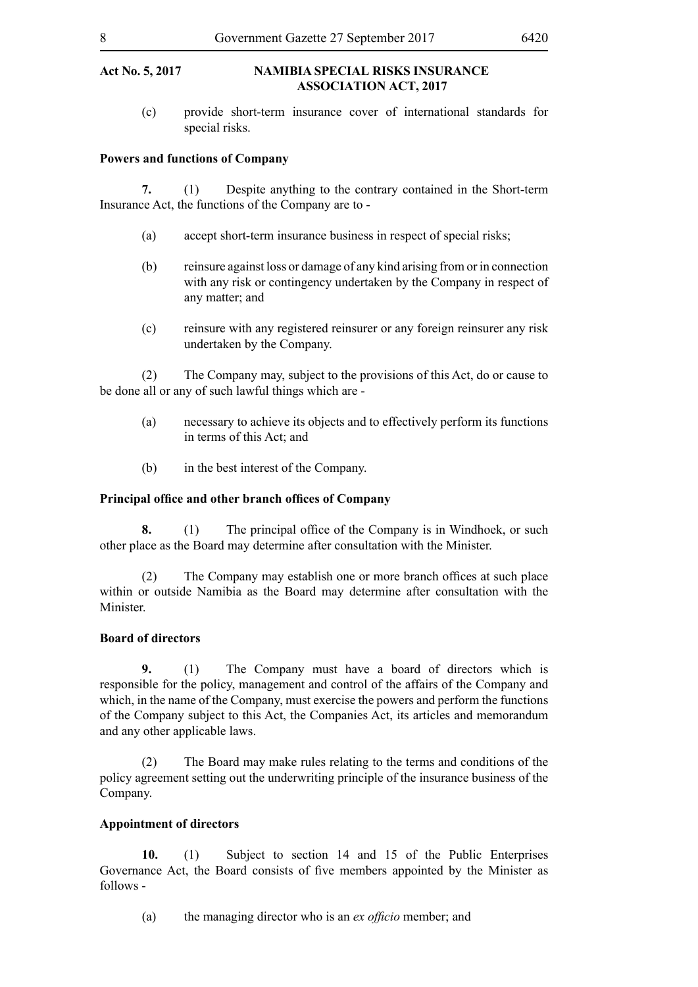(c) provide short-term insurance cover of international standards for special risks.

# **Powers and functions of Company**

**7.** (1) Despite anything to the contrary contained in the Short-term Insurance Act, the functions of the Company are to -

- (a) accept short-term insurance business in respect of special risks;
- (b) reinsure against loss or damage of any kind arising from or in connection with any risk or contingency undertaken by the Company in respect of any matter; and
- (c) reinsure with any registered reinsurer or any foreign reinsurer any risk undertaken by the Company.

(2) The Company may, subject to the provisions of this Act, do or cause to be done all or any of such lawful things which are -

- (a) necessary to achieve its objects and to effectively perform its functions in terms of this Act; and
- (b) in the best interest of the Company.

# **Principal office and other branch offices of Company**

**8.** (1) The principal office of the Company is in Windhoek, or such other place as the Board may determine after consultation with the Minister.

(2) The Company may establish one or more branch offices at such place within or outside Namibia as the Board may determine after consultation with the Minister.

# **Board of directors**

**9.** (1) The Company must have a board of directors which is responsible for the policy, management and control of the affairs of the Company and which, in the name of the Company, must exercise the powers and perform the functions of the Company subject to this Act, the Companies Act, its articles and memorandum and any other applicable laws.

(2) The Board may make rules relating to the terms and conditions of the policy agreement setting out the underwriting principle of the insurance business of the Company.

# **Appointment of directors**

**10.** (1) Subject to section 14 and 15 of the Public Enterprises Governance Act, the Board consists of five members appointed by the Minister as follows -

(a) the managing director who is an *ex officio* member; and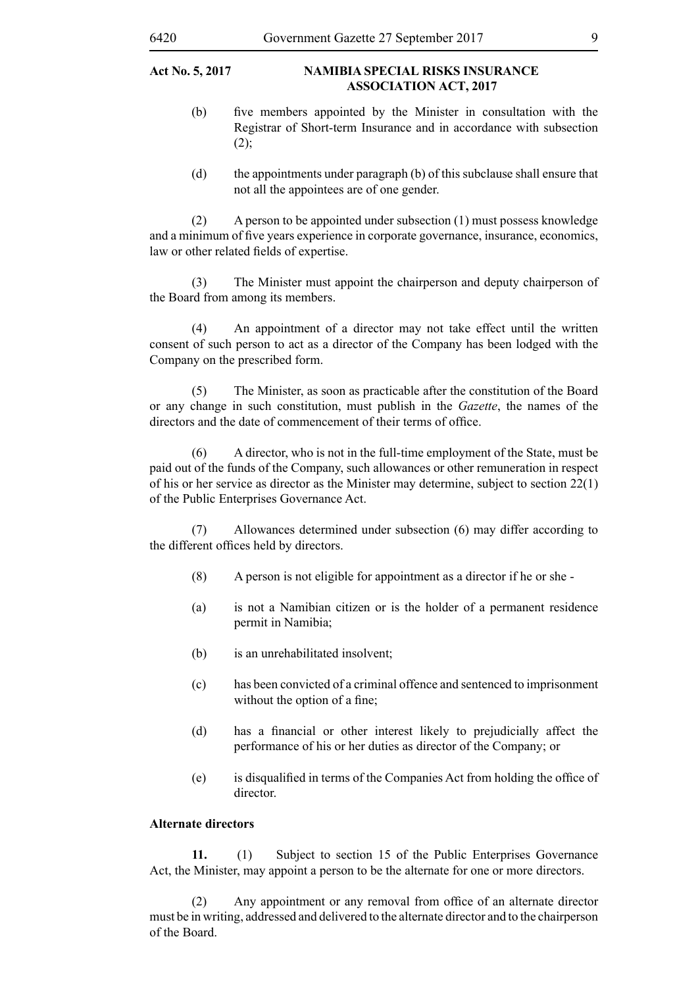- (b) five members appointed by the Minister in consultation with the Registrar of Short-term Insurance and in accordance with subsection  $(2)$ ;
- (d) the appointments under paragraph (b) of this subclause shall ensure that not all the appointees are of one gender.

(2) A person to be appointed under subsection (1) must possess knowledge and a minimum of five years experience in corporate governance, insurance, economics, law or other related fields of expertise.

(3) The Minister must appoint the chairperson and deputy chairperson of the Board from among its members.

(4) An appointment of a director may not take effect until the written consent of such person to act as a director of the Company has been lodged with the Company on the prescribed form.

(5) The Minister, as soon as practicable after the constitution of the Board or any change in such constitution, must publish in the *Gazette*, the names of the directors and the date of commencement of their terms of office.

(6) A director, who is not in the full-time employment of the State, must be paid out of the funds of the Company, such allowances or other remuneration in respect of his or her service as director as the Minister may determine, subject to section 22(1) of the Public Enterprises Governance Act.

(7) Allowances determined under subsection (6) may differ according to the different offices held by directors.

- (8) A person is not eligible for appointment as a director if he or she -
- (a) is not a Namibian citizen or is the holder of a permanent residence permit in Namibia;
- (b) is an unrehabilitated insolvent;
- (c) has been convicted of a criminal offence and sentenced to imprisonment without the option of a fine:
- (d) has a financial or other interest likely to prejudicially affect the performance of his or her duties as director of the Company; or
- (e) is disqualified in terms of the Companies Act from holding the office of director.

# **Alternate directors**

**11.** (1) Subject to section 15 of the Public Enterprises Governance Act, the Minister, may appoint a person to be the alternate for one or more directors.

 (2) Any appointment or any removal from office of an alternate director must be in writing, addressed and delivered to the alternate director and to the chairperson of the Board.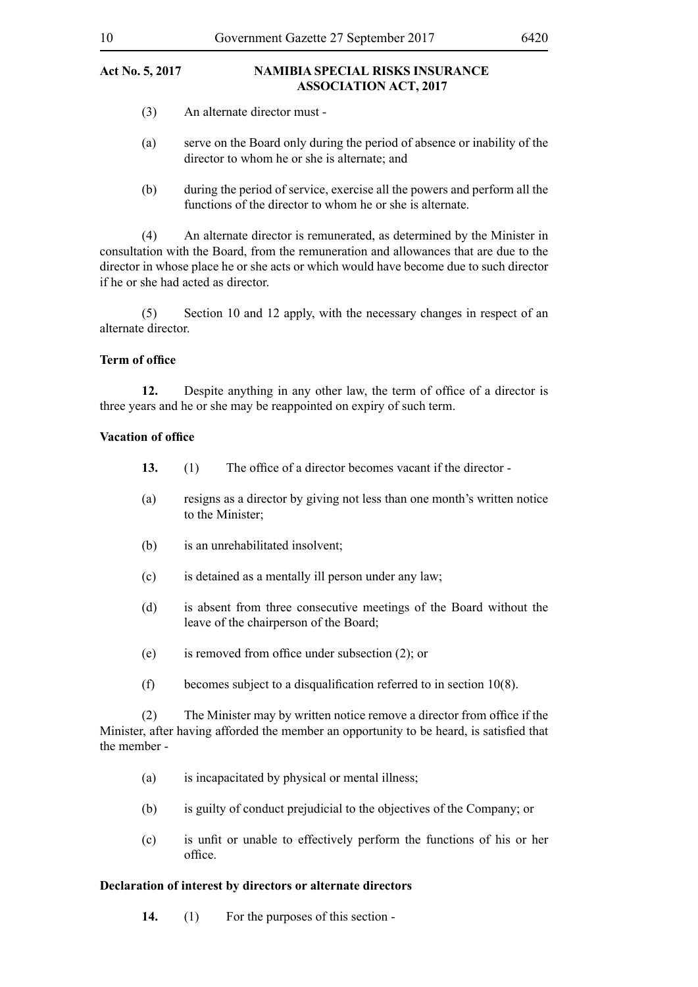- (3) An alternate director must -
- (a) serve on the Board only during the period of absence or inability of the director to whom he or she is alternate; and
- (b) during the period of service, exercise all the powers and perform all the functions of the director to whom he or she is alternate.

(4) An alternate director is remunerated, as determined by the Minister in consultation with the Board, from the remuneration and allowances that are due to the director in whose place he or she acts or which would have become due to such director if he or she had acted as director.

(5) Section 10 and 12 apply, with the necessary changes in respect of an alternate director.

# **Term of office**

**12.** Despite anything in any other law, the term of office of a director is three years and he or she may be reappointed on expiry of such term.

# **Vacation of office**

- 13. (1) The office of a director becomes vacant if the director -
- (a) resigns as a director by giving not less than one month's written notice to the Minister;
- (b) is an unrehabilitated insolvent;
- (c) is detained as a mentally ill person under any law;
- (d) is absent from three consecutive meetings of the Board without the leave of the chairperson of the Board;
- (e) is removed from office under subsection (2); or
- (f) becomes subject to a disqualification referred to in section  $10(8)$ .

 (2) The Minister may by written notice remove a director from office if the Minister, after having afforded the member an opportunity to be heard, is satisfied that the member -

- (a) is incapacitated by physical or mental illness;
- (b) is guilty of conduct prejudicial to the objectives of the Company; or
- (c) is unfit or unable to effectively perform the functions of his or her office.

# **Declaration of interest by directors or alternate directors**

**14.** (1) For the purposes of this section -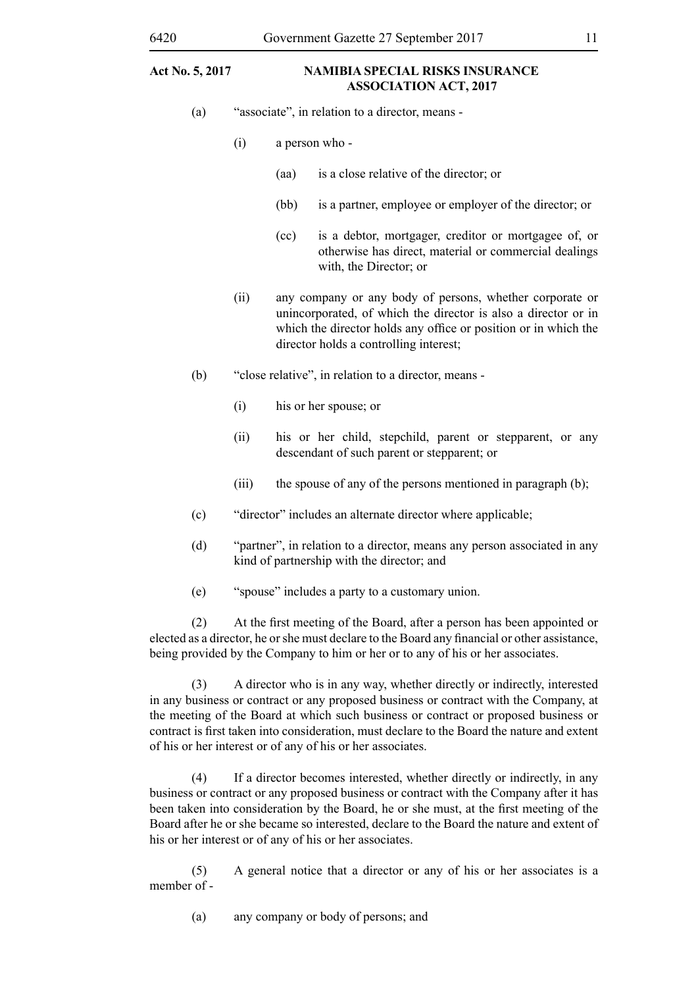- (a) "associate", in relation to a director, means
	- (i) a person who
		- (aa) is a close relative of the director; or
		- (bb) is a partner, employee or employer of the director; or
		- (cc) is a debtor, mortgager, creditor or mortgagee of, or otherwise has direct, material or commercial dealings with, the Director; or
	- (ii) any company or any body of persons, whether corporate or unincorporated, of which the director is also a director or in which the director holds any office or position or in which the director holds a controlling interest;
- (b) "close relative", in relation to a director, means
	- (i) his or her spouse; or
	- (ii) his or her child, stepchild, parent or stepparent, or any descendant of such parent or stepparent; or
	- (iii) the spouse of any of the persons mentioned in paragraph (b);
- (c) "director" includes an alternate director where applicable;
- (d) "partner", in relation to a director, means any person associated in any kind of partnership with the director; and
- (e) "spouse" includes a party to a customary union.

 (2) At the first meeting of the Board, after a person has been appointed or elected as a director, he orshe must declare to the Board any financial or other assistance, being provided by the Company to him or her or to any of his or her associates.

(3) A director who is in any way, whether directly or indirectly, interested in any business or contract or any proposed business or contract with the Company, at the meeting of the Board at which such business or contract or proposed business or contract is first taken into consideration, must declare to the Board the nature and extent of his or her interest or of any of his or her associates.

(4) If a director becomes interested, whether directly or indirectly, in any business or contract or any proposed business or contract with the Company after it has been taken into consideration by the Board, he or she must, at the first meeting of the Board after he or she became so interested, declare to the Board the nature and extent of his or her interest or of any of his or her associates.

(5) A general notice that a director or any of his or her associates is a member of -

(a) any company or body of persons; and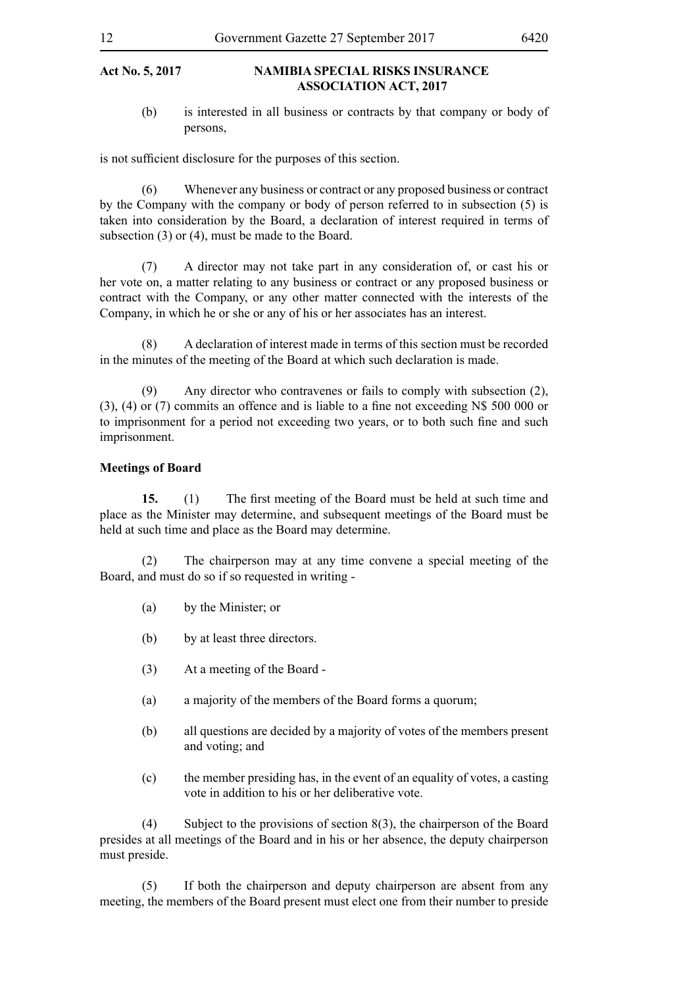(b) is interested in all business or contracts by that company or body of persons,

is not sufficient disclosure for the purposes of this section.

(6) Whenever any business or contract or any proposed business or contract by the Company with the company or body of person referred to in subsection (5) is taken into consideration by the Board, a declaration of interest required in terms of subsection (3) or (4), must be made to the Board.

(7) A director may not take part in any consideration of, or cast his or her vote on, a matter relating to any business or contract or any proposed business or contract with the Company, or any other matter connected with the interests of the Company, in which he or she or any of his or her associates has an interest.

(8) A declaration of interest made in terms of this section must be recorded in the minutes of the meeting of the Board at which such declaration is made.

(9) Any director who contravenes or fails to comply with subsection (2), (3), (4) or (7) commits an offence and is liable to a fine not exceeding N\$ 500 000 or to imprisonment for a period not exceeding two years, or to both such fine and such imprisonment.

# **Meetings of Board**

**15.** (1) The first meeting of the Board must be held at such time and place as the Minister may determine, and subsequent meetings of the Board must be held at such time and place as the Board may determine.

(2) The chairperson may at any time convene a special meeting of the Board, and must do so if so requested in writing -

- (a) by the Minister; or
- (b) by at least three directors.
- (3) At a meeting of the Board -
- (a) a majority of the members of the Board forms a quorum;
- (b) all questions are decided by a majority of votes of the members present and voting; and
- (c) the member presiding has, in the event of an equality of votes, a casting vote in addition to his or her deliberative vote.

(4) Subject to the provisions of section 8(3), the chairperson of the Board presides at all meetings of the Board and in his or her absence, the deputy chairperson must preside.

(5) If both the chairperson and deputy chairperson are absent from any meeting, the members of the Board present must elect one from their number to preside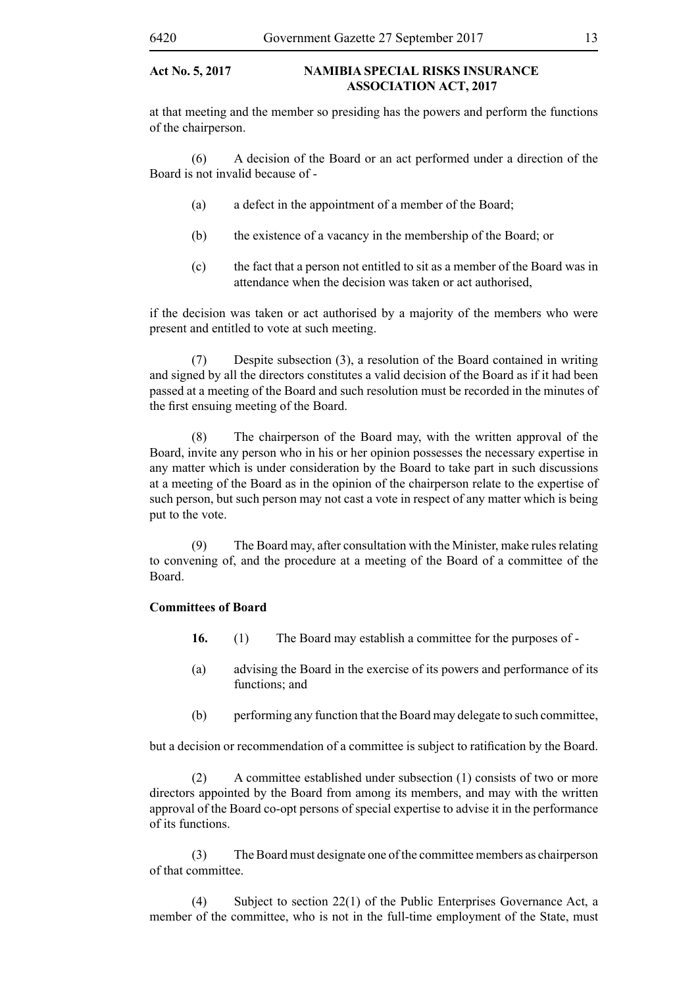at that meeting and the member so presiding has the powers and perform the functions of the chairperson.

(6) A decision of the Board or an act performed under a direction of the Board is not invalid because of -

- (a) a defect in the appointment of a member of the Board;
- (b) the existence of a vacancy in the membership of the Board; or
- (c) the fact that a person not entitled to sit as a member of the Board was in attendance when the decision was taken or act authorised,

if the decision was taken or act authorised by a majority of the members who were present and entitled to vote at such meeting.

(7) Despite subsection (3), a resolution of the Board contained in writing and signed by all the directors constitutes a valid decision of the Board as if it had been passed at a meeting of the Board and such resolution must be recorded in the minutes of the first ensuing meeting of the Board.

(8) The chairperson of the Board may, with the written approval of the Board, invite any person who in his or her opinion possesses the necessary expertise in any matter which is under consideration by the Board to take part in such discussions at a meeting of the Board as in the opinion of the chairperson relate to the expertise of such person, but such person may not cast a vote in respect of any matter which is being put to the vote.

(9) The Board may, after consultation with the Minister, make rules relating to convening of, and the procedure at a meeting of the Board of a committee of the Board.

# **Committees of Board**

- **16.** (1) The Board may establish a committee for the purposes of -
- (a) advising the Board in the exercise of its powers and performance of its functions; and
- (b) performing any function that the Board may delegate to such committee,

but a decision or recommendation of a committee is subject to ratification by the Board.

(2) A committee established under subsection (1) consists of two or more directors appointed by the Board from among its members, and may with the written approval of the Board co-opt persons of special expertise to advise it in the performance of its functions.

(3) The Board must designate one of the committee members as chairperson of that committee.

(4) Subject to section 22(1) of the Public Enterprises Governance Act, a member of the committee, who is not in the full-time employment of the State, must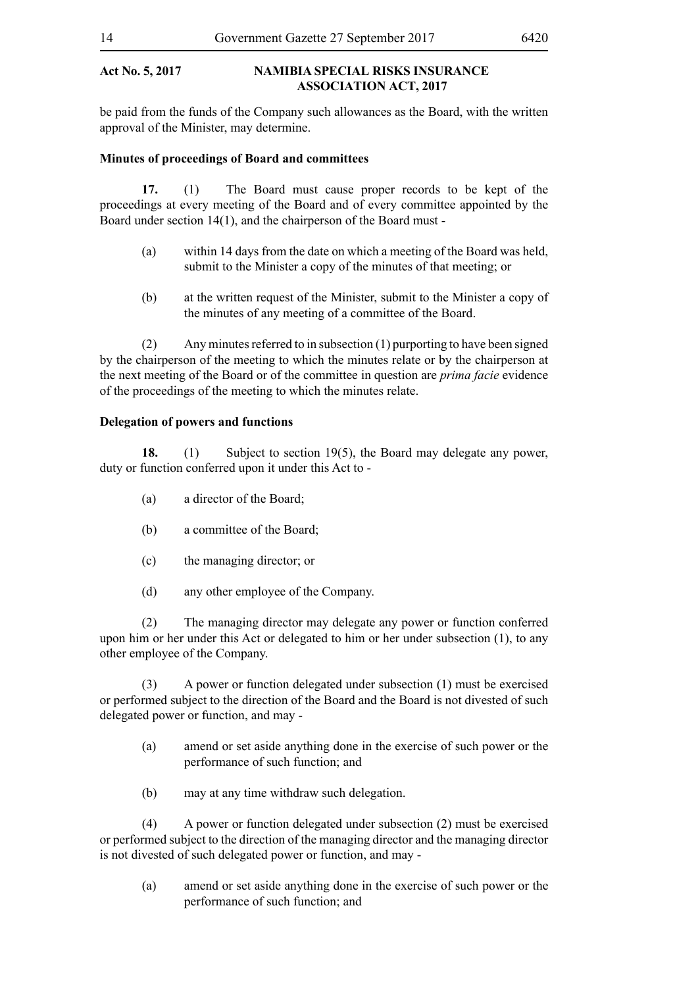be paid from the funds of the Company such allowances as the Board, with the written approval of the Minister, may determine.

# **Minutes of proceedings of Board and committees**

**17.** (1) The Board must cause proper records to be kept of the proceedings at every meeting of the Board and of every committee appointed by the Board under section 14(1), and the chairperson of the Board must -

- (a) within 14 days from the date on which a meeting of the Board was held, submit to the Minister a copy of the minutes of that meeting; or
- (b) at the written request of the Minister, submit to the Minister a copy of the minutes of any meeting of a committee of the Board.

(2) Any minutes referred to in subsection (1) purporting to have been signed by the chairperson of the meeting to which the minutes relate or by the chairperson at the next meeting of the Board or of the committee in question are *prima facie* evidence of the proceedings of the meeting to which the minutes relate.

# **Delegation of powers and functions**

**18.** (1) Subject to section 19(5), the Board may delegate any power, duty or function conferred upon it under this Act to -

- (a) a director of the Board;
- (b) a committee of the Board;
- (c) the managing director; or
- (d) any other employee of the Company.

(2) The managing director may delegate any power or function conferred upon him or her under this Act or delegated to him or her under subsection (1), to any other employee of the Company.

(3) A power or function delegated under subsection (1) must be exercised or performed subject to the direction of the Board and the Board is not divested of such delegated power or function, and may -

- (a) amend or set aside anything done in the exercise of such power or the performance of such function; and
- (b) may at any time withdraw such delegation.

(4) A power or function delegated under subsection (2) must be exercised or performed subject to the direction of the managing director and the managing director is not divested of such delegated power or function, and may -

(a) amend or set aside anything done in the exercise of such power or the performance of such function; and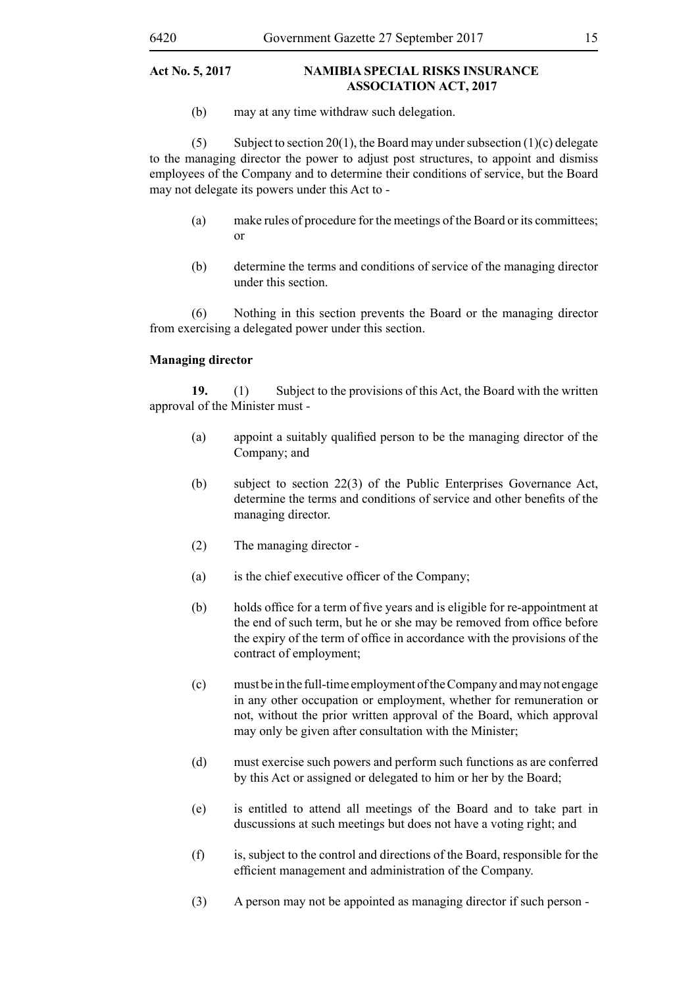(b) may at any time withdraw such delegation.

(5) Subject to section 20(1), the Board may under subsection  $(1)(c)$  delegate to the managing director the power to adjust post structures, to appoint and dismiss employees of the Company and to determine their conditions of service, but the Board may not delegate its powers under this Act to -

- (a) make rules of procedure for the meetings of the Board or its committees; or
- (b) determine the terms and conditions of service of the managing director under this section.

(6) Nothing in this section prevents the Board or the managing director from exercising a delegated power under this section.

# **Managing director**

**19.** (1) Subject to the provisions of this Act, the Board with the written approval of the Minister must -

- (a) appoint a suitably qualified person to be the managing director of the Company; and
- (b) subject to section 22(3) of the Public Enterprises Governance Act, determine the terms and conditions of service and other benefits of the managing director.
- (2) The managing director -
- (a) is the chief executive officer of the Company;
- (b) holds office for a term of five years and is eligible for re-appointment at the end of such term, but he or she may be removed from office before the expiry of the term of office in accordance with the provisions of the contract of employment;
- (c) must be in the full-time employment of the Company and may not engage in any other occupation or employment, whether for remuneration or not, without the prior written approval of the Board, which approval may only be given after consultation with the Minister;
- (d) must exercise such powers and perform such functions as are conferred by this Act or assigned or delegated to him or her by the Board;
- (e) is entitled to attend all meetings of the Board and to take part in duscussions at such meetings but does not have a voting right; and
- (f) is, subject to the control and directions of the Board, responsible for the efficient management and administration of the Company.
- (3) A person may not be appointed as managing director if such person -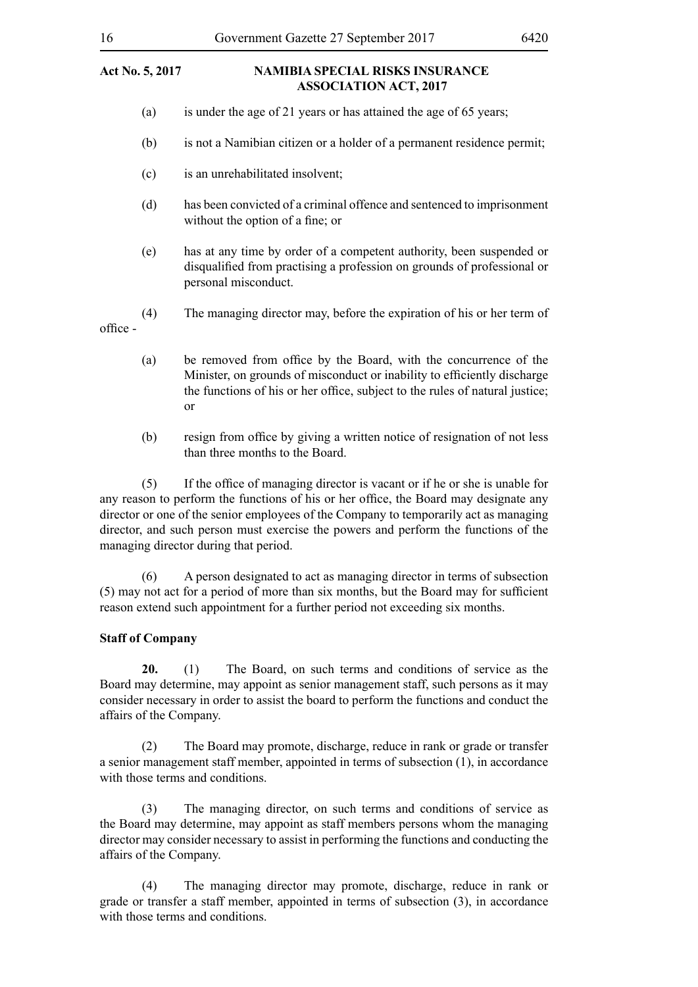# **NAMIBIA SPECIAL RISKS INSURANCE Association Act, 2017**

- (a) is under the age of 21 years or has attained the age of 65 years;
- (b) is not a Namibian citizen or a holder of a permanent residence permit;
- (c) is an unrehabilitated insolvent;
- (d) has been convicted of a criminal offence and sentenced to imprisonment without the option of a fine; or
- (e) has at any time by order of a competent authority, been suspended or disqualified from practising a profession on grounds of professional or personal misconduct.
- (4) The managing director may, before the expiration of his or her term of office -
	- (a) be removed from office by the Board, with the concurrence of the Minister, on grounds of misconduct or inability to efficiently discharge the functions of his or her office, subject to the rules of natural justice; or
	- (b) resign from office by giving a written notice of resignation of not less than three months to the Board.

 (5) If the office of managing director is vacant or if he or she is unable for any reason to perform the functions of his or her office, the Board may designate any director or one of the senior employees of the Company to temporarily act as managing director, and such person must exercise the powers and perform the functions of the managing director during that period.

(6) A person designated to act as managing director in terms of subsection (5) may not act for a period of more than six months, but the Board may for sufficient reason extend such appointment for a further period not exceeding six months.

# **Staff of Company**

**20.** (1) The Board, on such terms and conditions of service as the Board may determine, may appoint as senior management staff, such persons as it may consider necessary in order to assist the board to perform the functions and conduct the affairs of the Company.

(2) The Board may promote, discharge, reduce in rank or grade or transfer a senior management staff member, appointed in terms of subsection (1), in accordance with those terms and conditions.

(3) The managing director, on such terms and conditions of service as the Board may determine, may appoint as staff members persons whom the managing director may consider necessary to assist in performing the functions and conducting the affairs of the Company.

(4) The managing director may promote, discharge, reduce in rank or grade or transfer a staff member, appointed in terms of subsection (3), in accordance with those terms and conditions.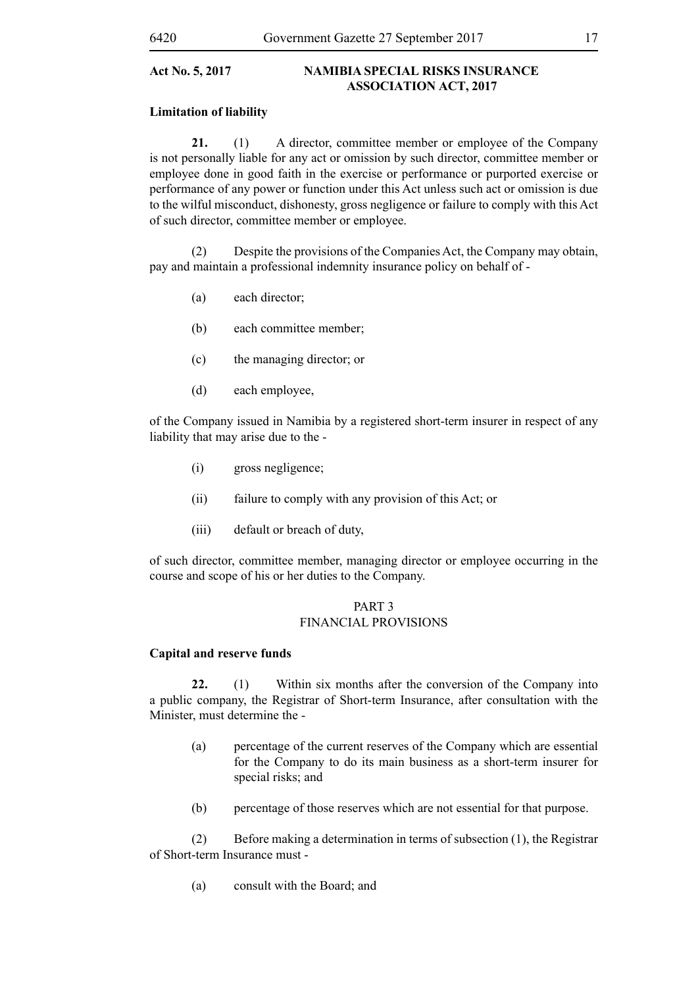# **Limitation of liability**

**21.** (1) A director, committee member or employee of the Company is not personally liable for any act or omission by such director, committee member or employee done in good faith in the exercise or performance or purported exercise or performance of any power or function under this Act unless such act or omission is due to the wilful misconduct, dishonesty, gross negligence or failure to comply with this Act of such director, committee member or employee.

(2) Despite the provisions of the Companies Act, the Company may obtain, pay and maintain a professional indemnity insurance policy on behalf of -

- (a) each director;
- (b) each committee member;
- (c) the managing director; or
- (d) each employee,

of the Company issued in Namibia by a registered short-term insurer in respect of any liability that may arise due to the -

- (i) gross negligence;
- (ii) failure to comply with any provision of this Act; or
- (iii) default or breach of duty,

of such director, committee member, managing director or employee occurring in the course and scope of his or her duties to the Company.

# PART 3 FINANCIAL PROVISIONS

# **Capital and reserve funds**

**22.** (1) Within six months after the conversion of the Company into a public company, the Registrar of Short-term Insurance, after consultation with the Minister, must determine the -

- (a) percentage of the current reserves of the Company which are essential for the Company to do its main business as a short-term insurer for special risks; and
- (b) percentage of those reserves which are not essential for that purpose.

(2) Before making a determination in terms of subsection (1), the Registrar of Short-term Insurance must -

(a) consult with the Board; and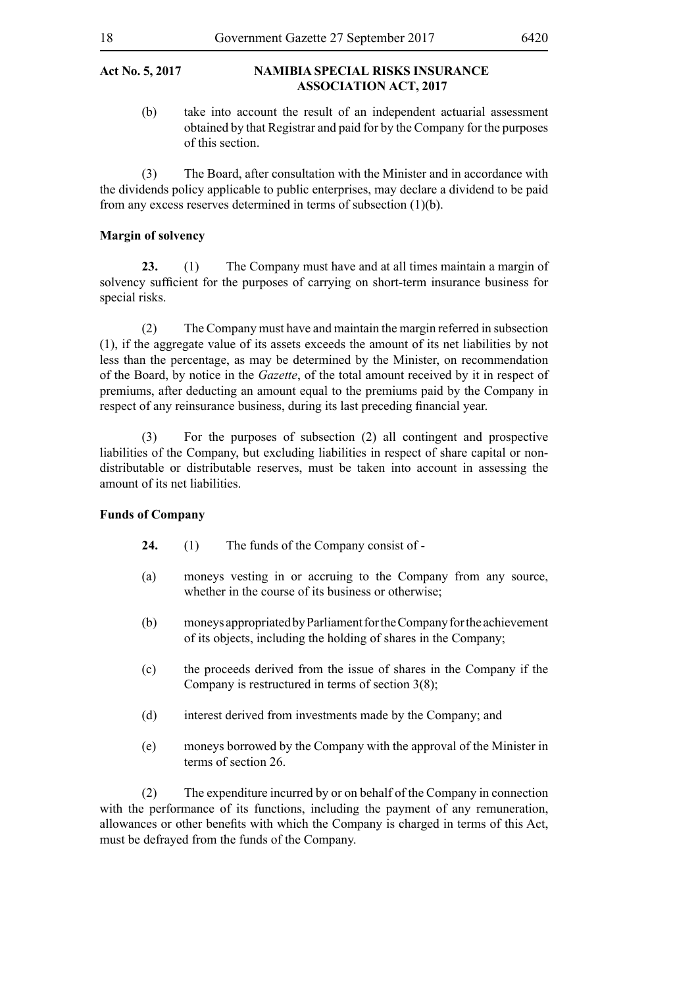(b) take into account the result of an independent actuarial assessment obtained by that Registrar and paid for by the Company for the purposes of this section.

(3) The Board, after consultation with the Minister and in accordance with the dividends policy applicable to public enterprises, may declare a dividend to be paid from any excess reserves determined in terms of subsection (1)(b).

# **Margin of solvency**

**23.** (1) The Company must have and at all times maintain a margin of solvency sufficient for the purposes of carrying on short-term insurance business for special risks.

(2) The Company must have and maintain the margin referred in subsection (1), if the aggregate value of its assets exceeds the amount of its net liabilities by not less than the percentage, as may be determined by the Minister, on recommendation of the Board, by notice in the *Gazette*, of the total amount received by it in respect of premiums, after deducting an amount equal to the premiums paid by the Company in respect of any reinsurance business, during its last preceding financial year.

(3) For the purposes of subsection (2) all contingent and prospective liabilities of the Company, but excluding liabilities in respect of share capital or nondistributable or distributable reserves, must be taken into account in assessing the amount of its net liabilities.

# **Funds of Company**

- **24.** (1) The funds of the Company consist of -
- (a) moneys vesting in or accruing to the Company from any source, whether in the course of its business or otherwise;
- (b) moneys appropriated by Parliament for the Company for the achievement of its objects, including the holding of shares in the Company;
- (c) the proceeds derived from the issue of shares in the Company if the Company is restructured in terms of section 3(8);
- (d) interest derived from investments made by the Company; and
- (e) moneys borrowed by the Company with the approval of the Minister in terms of section 26.

(2) The expenditure incurred by or on behalf of the Company in connection with the performance of its functions, including the payment of any remuneration, allowances or other benefits with which the Company is charged in terms of this Act, must be defrayed from the funds of the Company.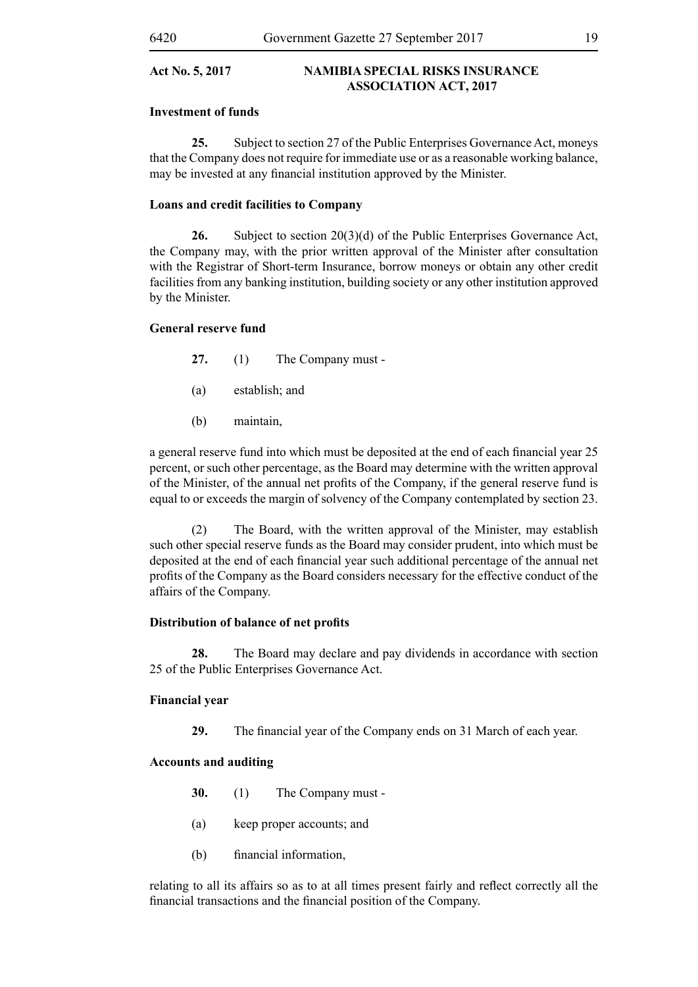# **Investment of funds**

**25.** Subject to section 27 of the Public Enterprises Governance Act, moneys that the Company does not require for immediate use or as a reasonable working balance, may be invested at any financial institution approved by the Minister.

# **Loans and credit facilities to Company**

**26.** Subject to section 20(3)(d) of the Public Enterprises Governance Act, the Company may, with the prior written approval of the Minister after consultation with the Registrar of Short-term Insurance, borrow moneys or obtain any other credit facilities from any banking institution, building society or any other institution approved by the Minister.

# **General reserve fund**

- **27.** (1) The Company must -
- (a) establish; and
- (b) maintain,

a general reserve fund into which must be deposited at the end of each financial year 25 percent, or such other percentage, as the Board may determine with the written approval of the Minister, of the annual net profits of the Company, if the general reserve fund is equal to or exceeds the margin of solvency of the Company contemplated by section 23.

(2) The Board, with the written approval of the Minister, may establish such other special reserve funds as the Board may consider prudent, into which must be deposited at the end of each financial year such additional percentage of the annual net profits of the Company as the Board considers necessary for the effective conduct of the affairs of the Company.

# **Distribution of balance of net profits**

**28.** The Board may declare and pay dividends in accordance with section 25 of the Public Enterprises Governance Act.

# **Financial year**

**29.** The financial year of the Company ends on 31 March of each year.

# **Accounts and auditing**

- **30.** (1) The Company must -
- (a) keep proper accounts; and
- (b) financial information,

relating to all its affairs so as to at all times present fairly and reflect correctly all the financial transactions and the financial position of the Company.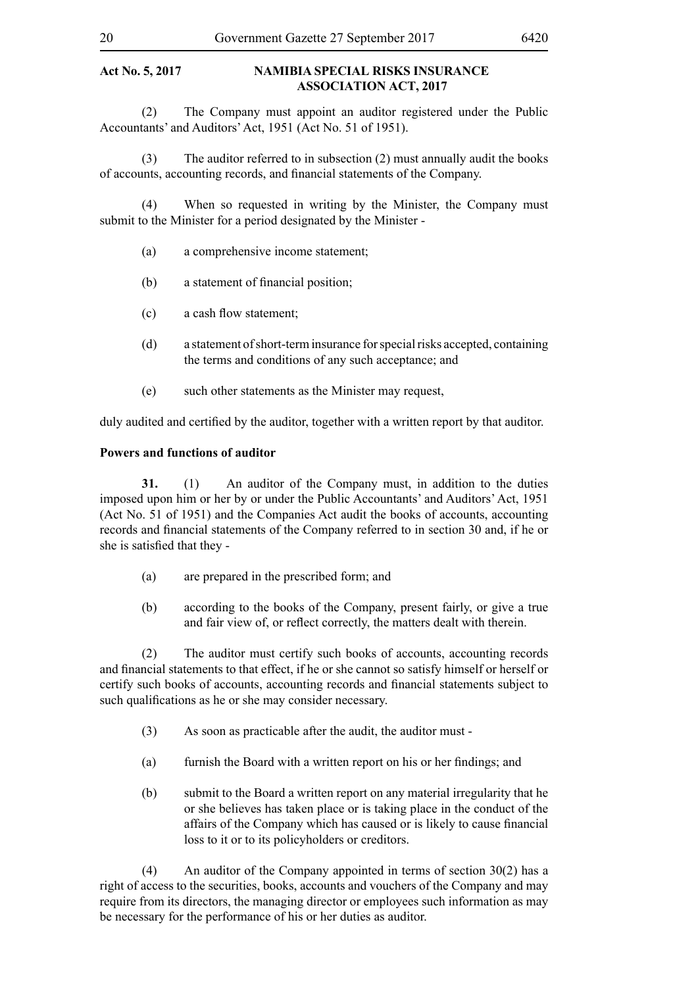(2) The Company must appoint an auditor registered under the Public Accountants' and Auditors' Act, 1951 (Act No. 51 of 1951).

(3) The auditor referred to in subsection (2) must annually audit the books of accounts, accounting records, and financial statements of the Company.

(4) When so requested in writing by the Minister, the Company must submit to the Minister for a period designated by the Minister -

- (a) a comprehensive income statement;
- (b) a statement of financial position;
- (c) a cash flow statement;
- (d) a statement of short-term insurance for special risks accepted, containing the terms and conditions of any such acceptance; and
- (e) such other statements as the Minister may request,

duly audited and certified by the auditor, together with a written report by that auditor.

# **Powers and functions of auditor**

**31.** (1) An auditor of the Company must, in addition to the duties imposed upon him or her by or under the Public Accountants' and Auditors' Act, 1951 (Act No. 51 of 1951) and the Companies Act audit the books of accounts, accounting records and financial statements of the Company referred to in section 30 and, if he or she is satisfied that they -

- (a) are prepared in the prescribed form; and
- (b) according to the books of the Company, present fairly, or give a true and fair view of, or reflect correctly, the matters dealt with therein.

(2) The auditor must certify such books of accounts, accounting records and financial statements to that effect, if he or she cannot so satisfy himself or herself or certify such books of accounts, accounting records and financial statements subject to such qualifications as he or she may consider necessary.

- (3) As soon as practicable after the audit, the auditor must -
- (a) furnish the Board with a written report on his or her findings; and
- (b) submit to the Board a written report on any material irregularity that he or she believes has taken place or is taking place in the conduct of the affairs of the Company which has caused or is likely to cause financial loss to it or to its policyholders or creditors.

(4) An auditor of the Company appointed in terms of section 30(2) has a right of access to the securities, books, accounts and vouchers of the Company and may require from its directors, the managing director or employees such information as may be necessary for the performance of his or her duties as auditor.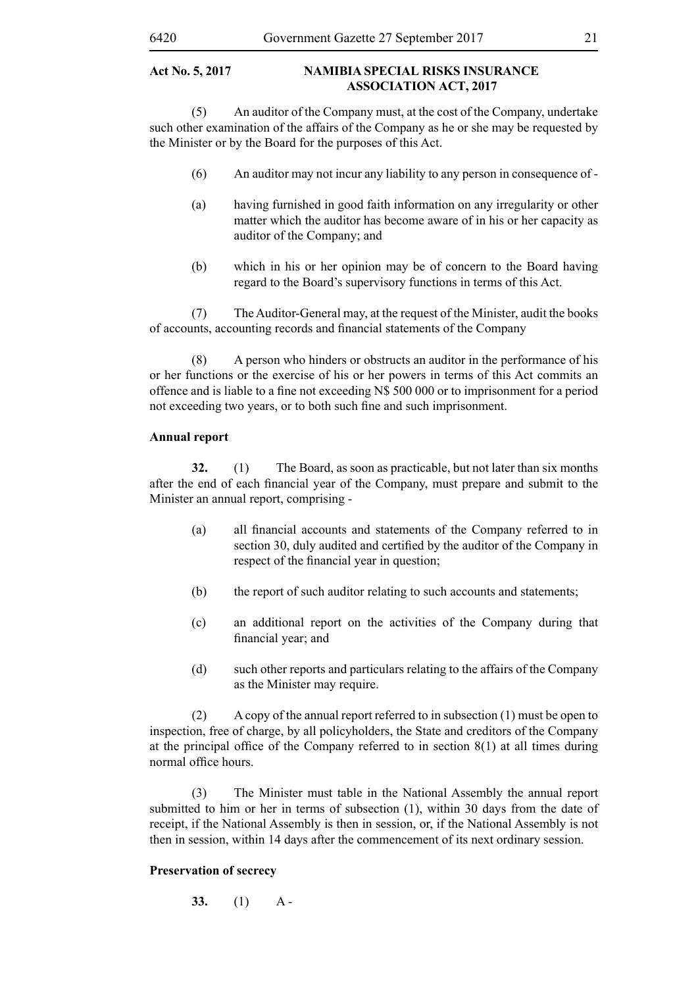(5) An auditor of the Company must, at the cost of the Company, undertake such other examination of the affairs of the Company as he or she may be requested by the Minister or by the Board for the purposes of this Act.

- (6) An auditor may not incur any liability to any person in consequence of -
- (a) having furnished in good faith information on any irregularity or other matter which the auditor has become aware of in his or her capacity as auditor of the Company; and
- (b) which in his or her opinion may be of concern to the Board having regard to the Board's supervisory functions in terms of this Act.

(7) The Auditor-General may, at the request of the Minister, audit the books of accounts, accounting records and financial statements of the Company

(8) A person who hinders or obstructs an auditor in the performance of his or her functions or the exercise of his or her powers in terms of this Act commits an offence and is liable to a fine not exceeding N\$ 500 000 or to imprisonment for a period not exceeding two years, or to both such fine and such imprisonment.

# **Annual report**

**32.** (1) The Board, as soon as practicable, but not later than six months after the end of each financial year of the Company, must prepare and submit to the Minister an annual report, comprising -

- (a) all financial accounts and statements of the Company referred to in section 30, duly audited and certified by the auditor of the Company in respect of the financial year in question;
- (b) the report of such auditor relating to such accounts and statements;
- (c) an additional report on the activities of the Company during that financial year; and
- (d) such other reports and particulars relating to the affairs of the Company as the Minister may require.

(2) A copy of the annual report referred to in subsection (1) must be open to inspection, free of charge, by all policyholders, the State and creditors of the Company at the principal office of the Company referred to in section  $8(1)$  at all times during normal office hours.

(3) The Minister must table in the National Assembly the annual report submitted to him or her in terms of subsection (1), within 30 days from the date of receipt, if the National Assembly is then in session, or, if the National Assembly is not then in session, within 14 days after the commencement of its next ordinary session.

# **Preservation of secrecy**

**33.** (1) A -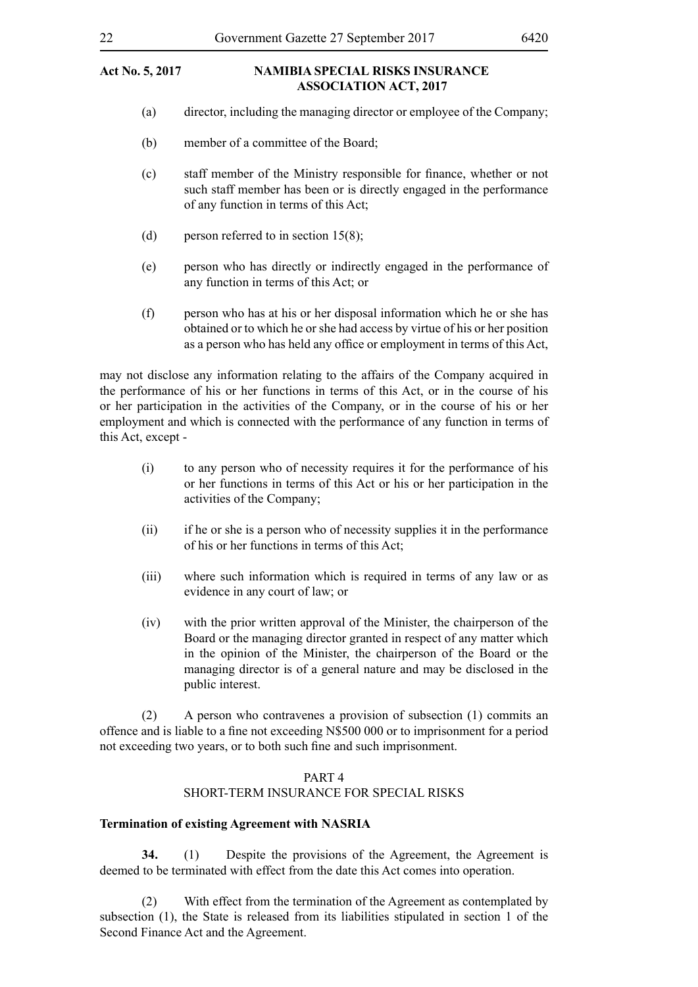- (a) director, including the managing director or employee of the Company;
- (b) member of a committee of the Board;
- (c) staff member of the Ministry responsible for finance, whether or not such staff member has been or is directly engaged in the performance of any function in terms of this Act;
- (d) person referred to in section  $15(8)$ ;
- (e) person who has directly or indirectly engaged in the performance of any function in terms of this Act; or
- (f) person who has at his or her disposal information which he or she has obtained or to which he or she had access by virtue of his or her position as a person who has held any office or employment in terms of this Act,

may not disclose any information relating to the affairs of the Company acquired in the performance of his or her functions in terms of this Act, or in the course of his or her participation in the activities of the Company, or in the course of his or her employment and which is connected with the performance of any function in terms of this Act, except -

- (i) to any person who of necessity requires it for the performance of his or her functions in terms of this Act or his or her participation in the activities of the Company;
- (ii) if he or she is a person who of necessity supplies it in the performance of his or her functions in terms of this Act;
- (iii) where such information which is required in terms of any law or as evidence in any court of law; or
- (iv) with the prior written approval of the Minister, the chairperson of the Board or the managing director granted in respect of any matter which in the opinion of the Minister, the chairperson of the Board or the managing director is of a general nature and may be disclosed in the public interest.

(2) A person who contravenes a provision of subsection (1) commits an offence and is liable to a fine not exceeding N\$500 000 or to imprisonment for a period not exceeding two years, or to both such fine and such imprisonment.

### PART 4

# SHORT-TERM INSURANCE FOR SPECIAL RISKS

### **Termination of existing Agreement with NASRIA**

**34.** (1) Despite the provisions of the Agreement, the Agreement is deemed to be terminated with effect from the date this Act comes into operation.

(2) With effect from the termination of the Agreement as contemplated by subsection (1), the State is released from its liabilities stipulated in section 1 of the Second Finance Act and the Agreement.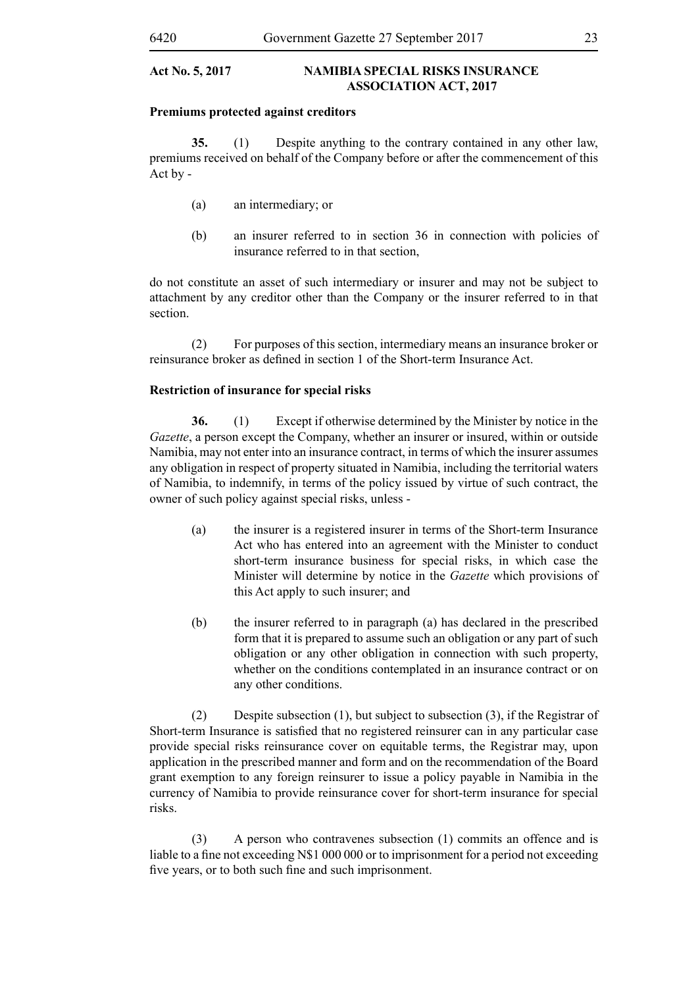# **Premiums protected against creditors**

**35.** (1) Despite anything to the contrary contained in any other law, premiums received on behalf of the Company before or after the commencement of this Act by -

- (a) an intermediary; or
- (b) an insurer referred to in section 36 in connection with policies of insurance referred to in that section,

do not constitute an asset of such intermediary or insurer and may not be subject to attachment by any creditor other than the Company or the insurer referred to in that section.

(2) For purposes of this section, intermediary means an insurance broker or reinsurance broker as defined in section 1 of the Short-term Insurance Act.

# **Restriction of insurance for special risks**

**36.** (1) Except if otherwise determined by the Minister by notice in the *Gazette*, a person except the Company, whether an insurer or insured, within or outside Namibia, may not enter into an insurance contract, in terms of which the insurer assumes any obligation in respect of property situated in Namibia, including the territorial waters of Namibia, to indemnify, in terms of the policy issued by virtue of such contract, the owner of such policy against special risks, unless -

- (a) the insurer is a registered insurer in terms of the Short-term Insurance Act who has entered into an agreement with the Minister to conduct short-term insurance business for special risks, in which case the Minister will determine by notice in the *Gazette* which provisions of this Act apply to such insurer; and
- (b) the insurer referred to in paragraph (a) has declared in the prescribed form that it is prepared to assume such an obligation or any part of such obligation or any other obligation in connection with such property, whether on the conditions contemplated in an insurance contract or on any other conditions.

(2) Despite subsection (1), but subject to subsection (3), if the Registrar of Short-term Insurance is satisfied that no registered reinsurer can in any particular case provide special risks reinsurance cover on equitable terms, the Registrar may, upon application in the prescribed manner and form and on the recommendation of the Board grant exemption to any foreign reinsurer to issue a policy payable in Namibia in the currency of Namibia to provide reinsurance cover for short-term insurance for special risks.

(3) A person who contravenes subsection (1) commits an offence and is liable to a fine not exceeding N\$1 000 000 or to imprisonment for a period not exceeding five years, or to both such fine and such imprisonment.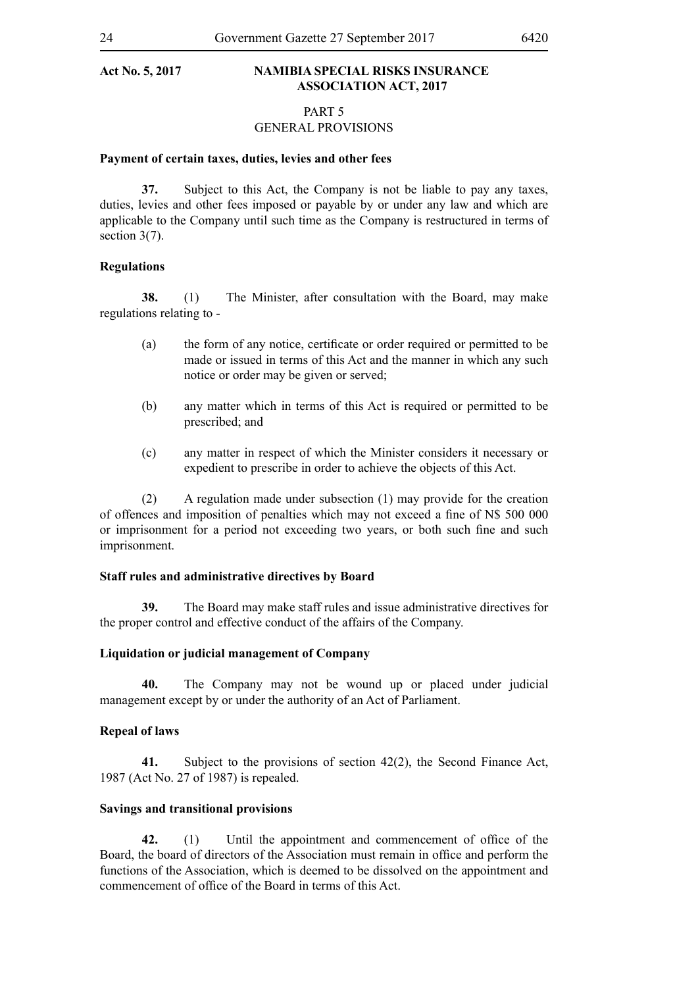# PART 5 GENERAL PROVISIONS

# **Payment of certain taxes, duties, levies and other fees**

**37.** Subject to this Act, the Company is not be liable to pay any taxes, duties, levies and other fees imposed or payable by or under any law and which are applicable to the Company until such time as the Company is restructured in terms of section 3(7).

# **Regulations**

**38.** (1) The Minister, after consultation with the Board, may make regulations relating to -

- (a) the form of any notice, certificate or order required or permitted to be made or issued in terms of this Act and the manner in which any such notice or order may be given or served;
- (b) any matter which in terms of this Act is required or permitted to be prescribed; and
- (c) any matter in respect of which the Minister considers it necessary or expedient to prescribe in order to achieve the objects of this Act.

(2) A regulation made under subsection (1) may provide for the creation of offences and imposition of penalties which may not exceed a fine of N\$ 500 000 or imprisonment for a period not exceeding two years, or both such fine and such imprisonment.

# **Staff rules and administrative directives by Board**

**39.** The Board may make staff rules and issue administrative directives for the proper control and effective conduct of the affairs of the Company.

# **Liquidation or judicial management of Company**

**40.** The Company may not be wound up or placed under judicial management except by or under the authority of an Act of Parliament.

#### **Repeal of laws**

**41.** Subject to the provisions of section 42(2), the Second Finance Act, 1987 (Act No. 27 of 1987) is repealed.

# **Savings and transitional provisions**

**42.** (1) Until the appointment and commencement of office of the Board, the board of directors of the Association must remain in office and perform the functions of the Association, which is deemed to be dissolved on the appointment and commencement of office of the Board in terms of this Act.